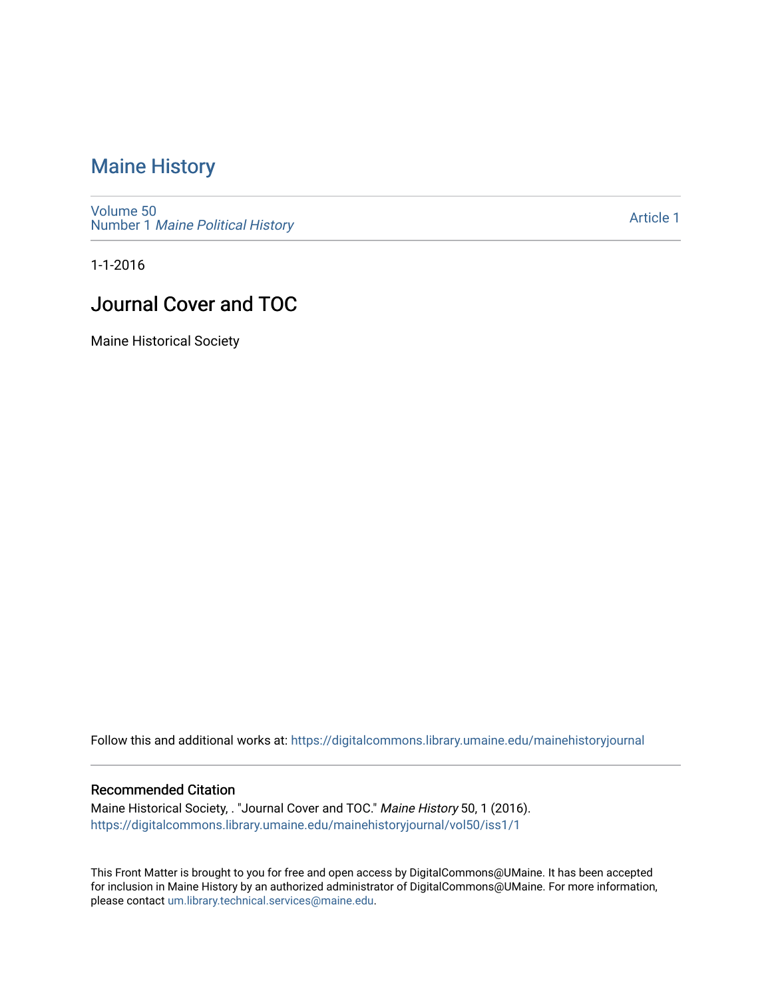# [Maine History](https://digitalcommons.library.umaine.edu/mainehistoryjournal)

[Volume 50](https://digitalcommons.library.umaine.edu/mainehistoryjournal/vol50) Number 1 [Maine Political History](https://digitalcommons.library.umaine.edu/mainehistoryjournal/vol50/iss1) 

[Article 1](https://digitalcommons.library.umaine.edu/mainehistoryjournal/vol50/iss1/1) 

1-1-2016

# Journal Cover and TOC

Maine Historical Society

Follow this and additional works at: [https://digitalcommons.library.umaine.edu/mainehistoryjournal](https://digitalcommons.library.umaine.edu/mainehistoryjournal?utm_source=digitalcommons.library.umaine.edu%2Fmainehistoryjournal%2Fvol50%2Fiss1%2F1&utm_medium=PDF&utm_campaign=PDFCoverPages) 

### Recommended Citation

Maine Historical Society, . "Journal Cover and TOC." Maine History 50, 1 (2016). [https://digitalcommons.library.umaine.edu/mainehistoryjournal/vol50/iss1/1](https://digitalcommons.library.umaine.edu/mainehistoryjournal/vol50/iss1/1?utm_source=digitalcommons.library.umaine.edu%2Fmainehistoryjournal%2Fvol50%2Fiss1%2F1&utm_medium=PDF&utm_campaign=PDFCoverPages)

This Front Matter is brought to you for free and open access by DigitalCommons@UMaine. It has been accepted for inclusion in Maine History by an authorized administrator of DigitalCommons@UMaine. For more information, please contact [um.library.technical.services@maine.edu.](mailto:um.library.technical.services@maine.edu)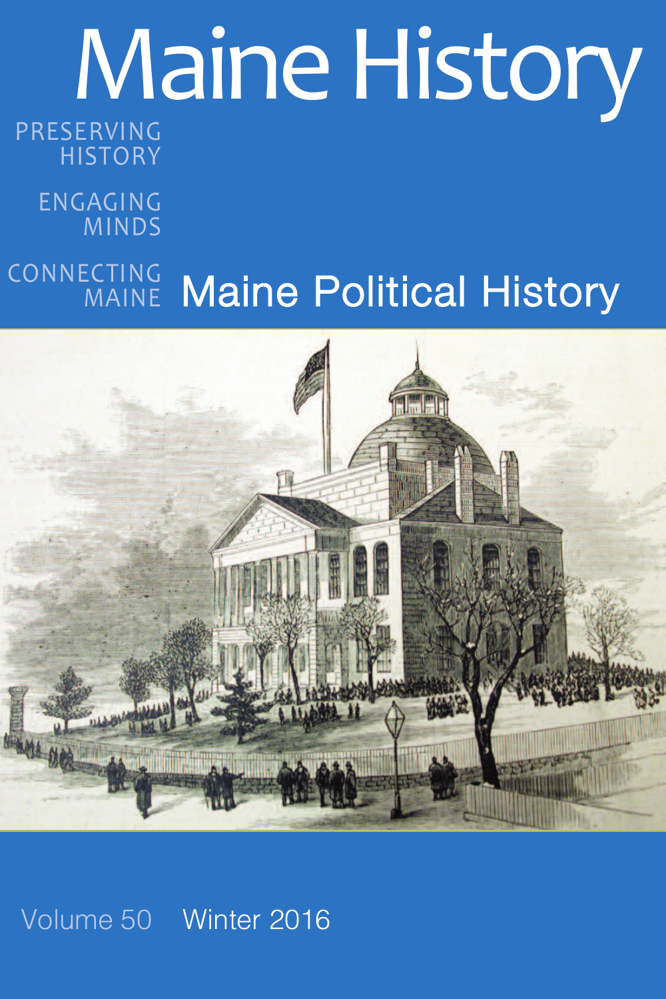# Maine History PRESERVING

# **HISTORY**

ENGAGING MINDS

### Maine Political History CONNECTING MAINE



# Volume 50 Winter 2016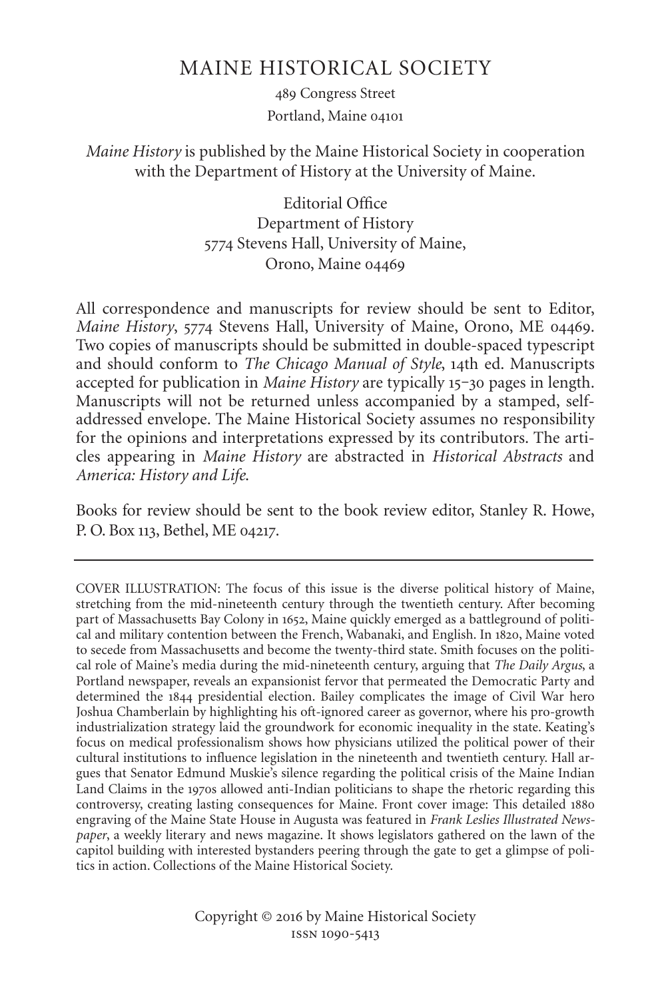## MAINE HISTORICAL SOCIETY

 Congress Street Portland, Maine

*Maine History* is published by the Maine Historical Society in cooperation with the Department of History at the University of Maine.

> Editorial Office Department of History 5774 Stevens Hall, University of Maine, Orono, Maine

All correspondence and manuscripts for review should be sent to Editor, *Maine History*, 5774 Stevens Hall, University of Maine, Orono, ME 04469. Two copies of manuscripts should be submitted in double-spaced typescript and should conform to *The Chicago Manual of Style*, 14th ed. Manuscripts accepted for publication in *Maine History* are typically 15-30 pages in length. Manuscripts will not be returned unless accompanied by a stamped, selfaddressed envelope. The Maine Historical Society assumes no responsibility for the opinions and interpretations expressed by its contributors. The articles appearing in *Maine History* are abstracted in *Historical Abstracts* and *America: History and Life*.

Books for review should be sent to the book review editor, Stanley R. Howe, P. O. Box 113, Bethel, ME 04217.

COVER ILLUSTRATION: The focus of this issue is the diverse political history of Maine, stretching from the mid-nineteenth century through the twentieth century. After becoming part of Massachusetts Bay Colony in 1652, Maine quickly emerged as a battleground of political and military contention between the French, Wabanaki, and English. In 1820, Maine voted to secede from Massachusetts and become the twenty-third state. Smith focuses on the political role of Maine's media during the mid-nineteenth century, arguing that *The Daily Argus*, a Portland newspaper, reveals an expansionist fervor that permeated the Democratic Party and determined the 1844 presidential election. Bailey complicates the image of Civil War hero Joshua Chamberlain by highlighting his oft-ignored career as governor, where his pro-growth industrialization strategy laid the groundwork for economic inequality in the state. Keating's focus on medical professionalism shows how physicians utilized the political power of their cultural institutions to influence legislation in the nineteenth and twentieth century. Hall argues that Senator Edmund Muskie's silence regarding the political crisis of the Maine Indian Land Claims in the 1970s allowed anti-Indian politicians to shape the rhetoric regarding this controversy, creating lasting consequences for Maine. Front cover image: This detailed engraving of the Maine State House in Augusta was featured in *Frank Leslies Illustrated Newspaper*, a weekly literary and news magazine. It shows legislators gathered on the lawn of the capitol building with interested bystanders peering through the gate to get a glimpse of politics in action. Collections of the Maine Historical Society.

> Copyright © 2016 by Maine Historical Society ISSN 1090-5413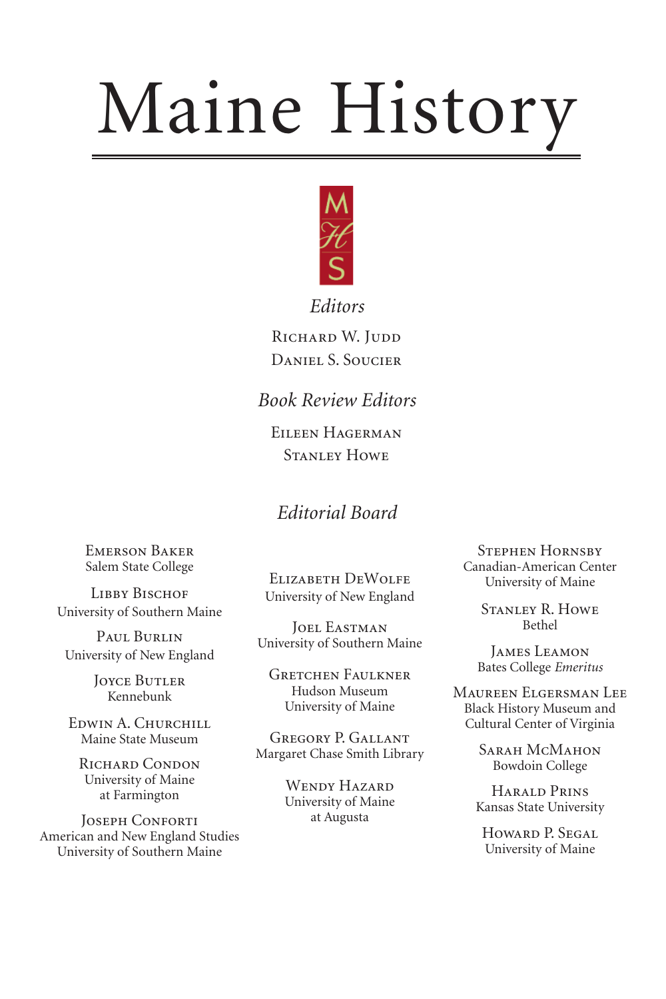# Maine History



*Editors*

RICHARD W. JUDD DANIEL S. SOUCIER

*Book Review Editors*

EILEEN HAGERMAN **STANLEY HOWE** 

## *Editorial Board*

EMERSON BAKER Salem State College

**LIBBY BISCHOF** University of Southern Maine

PAUL BURLIN University of New England

> **JOYCE BUTLER** Kennebunk

EDWIN A. CHURCHILL Maine State Museum

RICHARD CONDON University of Maine at Farmington

**JOSEPH CONFORTI** American and New England Studies University of Southern Maine

ELIZABETH DEWOLFE University of New England

**JOEL EASTMAN** University of Southern Maine

**GRETCHEN FAULKNER** Hudson Museum University of Maine

GREGORY P. GALLANT Margaret Chase Smith Library

> WENDY HAZARD University of Maine at Augusta

**STEPHEN HORNSBY** Canadian-American Center University of Maine

> STANLEY R. HOWE Bethel

**JAMES LEAMON** Bates College *Emeritus*

MAUREEN ELGERSMAN LEE Black History Museum and Cultural Center of Virginia

> SARAH MCMAHON Bowdoin College

HARALD PRINS Kansas State University

HOWARD P. SEGAL University of Maine